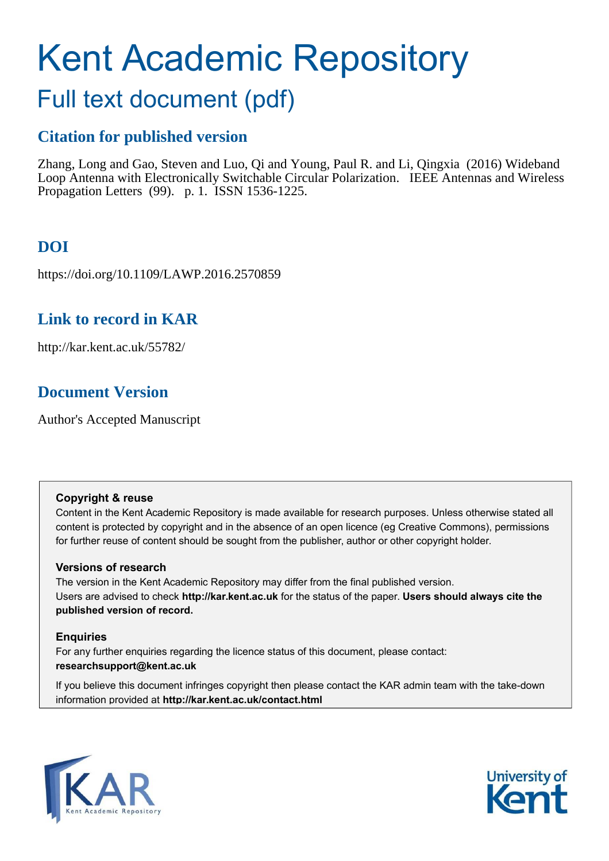# Kent Academic Repository

# Full text document (pdf)

## **Citation for published version**

Zhang, Long and Gao, Steven and Luo, Qi and Young, Paul R. and Li, Qingxia (2016) Wideband Loop Antenna with Electronically Switchable Circular Polarization. IEEE Antennas and Wireless Propagation Letters (99). p. 1. ISSN 1536-1225.

# **DOI**

https://doi.org/10.1109/LAWP.2016.2570859

## **Link to record in KAR**

http://kar.kent.ac.uk/55782/

## **Document Version**

Author's Accepted Manuscript

#### **Copyright & reuse**

Content in the Kent Academic Repository is made available for research purposes. Unless otherwise stated all content is protected by copyright and in the absence of an open licence (eg Creative Commons), permissions for further reuse of content should be sought from the publisher, author or other copyright holder.

#### **Versions of research**

The version in the Kent Academic Repository may differ from the final published version. Users are advised to check **http://kar.kent.ac.uk** for the status of the paper. **Users should always cite the published version of record.**

#### **Enquiries**

For any further enquiries regarding the licence status of this document, please contact: **researchsupport@kent.ac.uk**

If you believe this document infringes copyright then please contact the KAR admin team with the take-down information provided at **http://kar.kent.ac.uk/contact.html**



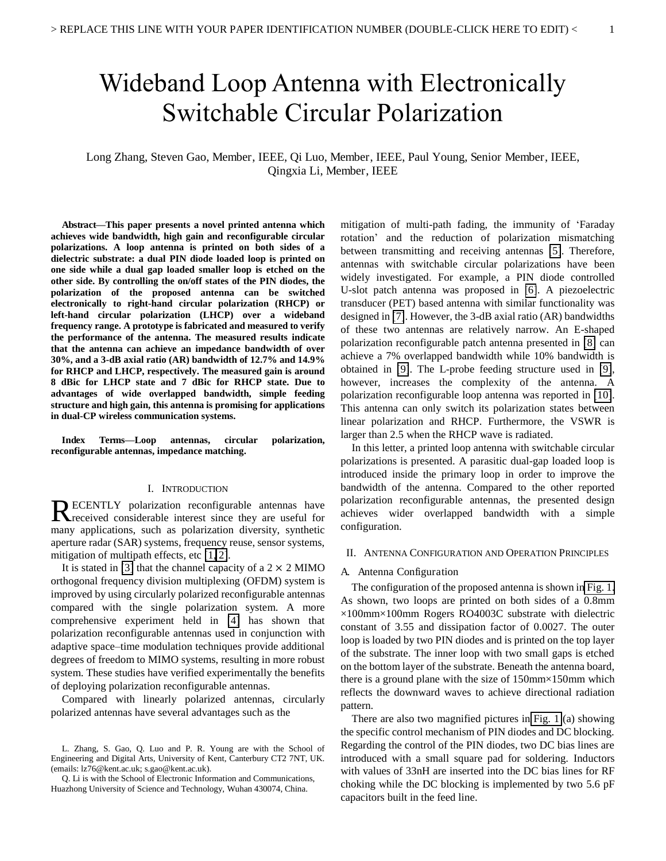# Wideband Loop Antenna with Electronically Switchable Circular Polarization

#### Long Zhang, Steven Gao, Member, IEEE, Qi Luo, Member, IEEE, Paul Young, Senior Member, IEEE, Qingxia Li, Member, IEEE

<span id="page-1-0"></span>**Abstract—This paper presents a novel printed antenna which achieves wide bandwidth, high gain and reconfigurable circular polarizations. A loop antenna is printed on both sides of a dielectric substrate: a dual PIN diode loaded loop is printed on one side while a dual gap loaded smaller loop is etched on the other side. By controlling the on/off states of the PIN diodes, the polarization of the proposed antenna can be switched electronically to right-hand circular polarization (RHCP) or left-hand circular polarization (LHCP) over a wideband frequency range. A prototype is fabricated and measured to verify the performance of the antenna. The measured results indicate that the antenna can achieve an impedance bandwidth of over 30%, and a 3-dB axial ratio (AR) bandwidth of 12.7% and 14.9% for RHCP and LHCP, respectively. The measured gain is around 8 dBic for LHCP state and 7 dBic for RHCP state. Due to advantages of wide overlapped bandwidth, simple feeding structure and high gain, this antenna is promising for applications in dual-CP wireless communication systems.** 

<span id="page-1-1"></span>**Index Terms—Loop antennas, circular polarization, reconfigurable antennas, impedance matching.** 

#### I. INTRODUCTION

ECENTLY polarization reconfigurable antennas have RECENTLY polarization reconfigurable antennas have<br>
Received considerable interest since they are useful for many applications, such as polarization diversity, synthetic aperture radar (SAR) systems, frequency reuse, sensor systems, mitigation of multipath effects, etc [\[1,](#page-3-0) [2\]](#page-3-1).

It is stated in [\[3\]](#page-3-2) that the channel capacity of a  $2 \times 2$  MIMO orthogonal frequency division multiplexing (OFDM) system is improved by using circularly polarized reconfigurable antennas compared with the single polarization system. A more comprehensive experiment held in [\[4\]](#page-3-3) has shown that polarization reconfigurable antennas used in conjunction with adaptive space–time modulation techniques provide additional degrees of freedom to MIMO systems, resulting in more robust system. These studies have verified experimentally the benefits of deploying polarization reconfigurable antennas.

Compared with linearly polarized antennas, circularly polarized antennas have several advantages such as the

mitigation of multi-path fading, the immunity of 'Faraday rotation' and the reduction of polarization mismatching between transmitting and receiving antennas [\[5\]](#page-3-4). Therefore, antennas with switchable circular polarizations have been widely investigated. For example, a PIN diode controlled U-slot patch antenna was proposed in [\[6\]](#page-3-5). A piezoelectric transducer (PET) based antenna with similar functionality was designed in [\[7\]](#page-3-6). However, the 3-dB axial ratio (AR) bandwidths of these two antennas are relatively narrow. An E-shaped polarization reconfigurable patch antenna presented in [\[8\]](#page-3-7) can achieve a 7% overlapped bandwidth while 10% bandwidth is obtained in [\[9\]](#page-3-8). The L-probe feeding structure used in [\[9\]](#page-3-8), however, increases the complexity of the antenna. A polarization reconfigurable loop antenna was reported in [\[10\]](#page-3-9). This antenna can only switch its polarization states between linear polarization and RHCP. Furthermore, the VSWR is larger than 2.5 when the RHCP wave is radiated.

<span id="page-1-2"></span>In this letter, a printed loop antenna with switchable circular polarizations is presented. A parasitic dual-gap loaded loop is introduced inside the primary loop in order to improve the bandwidth of the antenna. Compared to the other reported polarization reconfigurable antennas, the presented design achieves wider overlapped bandwidth with a simple configuration.

#### II. ANTENNA CONFIGURATION AND OPERATION PRINCIPLES

#### <span id="page-1-3"></span>A. Antenna Configuration

The configuration of the proposed antenna is shown in [Fig. 1.](#page-1-0) As shown, two loops are printed on both sides of a 0.8mm  $\times100$ mm $\times100$ mm Rogers RO4003C substrate with dielectric constant of 3.55 and dissipation factor of 0.0027. The outer loop is loaded by two PIN diodes and is printed on the top layer of the substrate. The inner loop with two small gaps is etched on the bottom layer of the substrate. Beneath the antenna board, there is a ground plane with the size of 150mm×150mm which reflects the downward waves to achieve directional radiation pattern.

There are also two magnified pictures in [Fig. 1](#page-1-0) (a) showing the specific control mechanism of PIN diodes and DC blocking. Regarding the control of the PIN diodes, two DC bias lines are introduced with a small square pad for soldering. Inductors with values of 33nH are inserted into the DC bias lines for RF choking while the DC blocking is implemented by two 5.6 pF capacitors built in the feed line.

L. Zhang, S. Gao, Q. Luo and P. R. Young are with the School of Engineering and Digital Arts, University of Kent, Canterbury CT2 7NT, UK. (emails: lz76@kent.ac.uk; s.gao@kent.ac.uk).

Q. Li is with the School of Electronic Information and Communications, Huazhong University of Science and Technology, Wuhan 430074, China.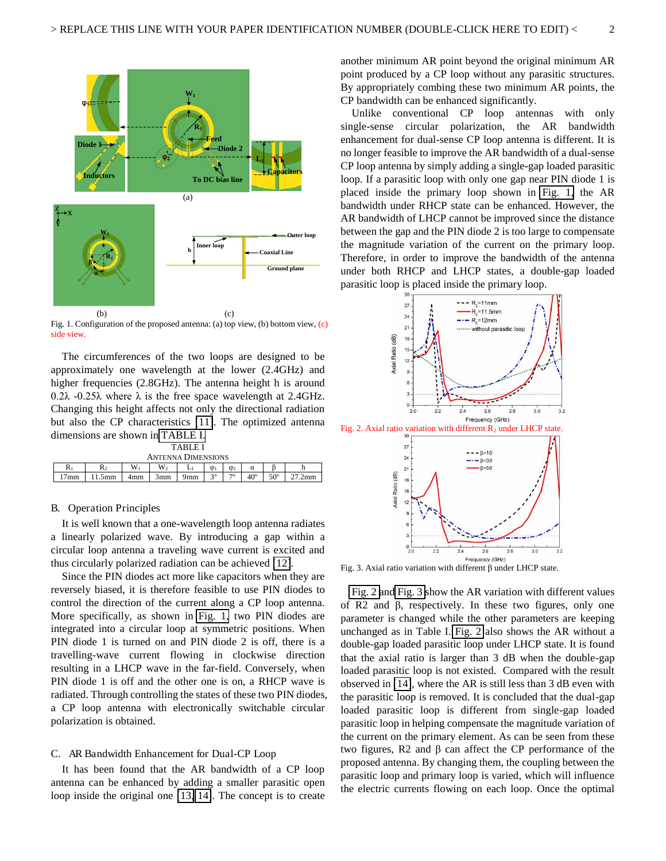

Fig. 1. Configuration of the proposed antenna: (a) top view, (b) bottom view, (c) side view.

<span id="page-2-0"></span>The circumferences of the two loops are designed to be approximately one wavelength at the lower (2.4GHz) and higher frequencies (2.8GHz). The antenna height h is around  $0.2\lambda$  -0.25 $\lambda$  where  $\lambda$  is the free space wavelength at 2.4GHz. Changing this height affects not only the directional radiation but also the CP characteristics [\[11\]](#page-3-10). The optimized antenna dimensions are shown in [TABLE I.](#page-1-1)

| TARI E I                  |      |       |                |     |                |                 |              |            |      |  |  |  |
|---------------------------|------|-------|----------------|-----|----------------|-----------------|--------------|------------|------|--|--|--|
| <b>ANTENNA DIMENSIONS</b> |      |       |                |     |                |                 |              |            |      |  |  |  |
| R۱                        | R٥   | $W_1$ | W <sub>2</sub> |     | $\varphi_1$    | $\mathcal{Q}_2$ | α            |            |      |  |  |  |
| 17 <sub>mm</sub>          | .5mm | 4mm   | 3mm            | 9mm | 3 <sup>0</sup> | 70              | $40^{\circ}$ | $50^\circ$ | .2mm |  |  |  |

#### B. Operation Principles

It is well known that a one-wavelength loop antenna radiates a linearly polarized wave. By introducing a gap within a circular loop antenna a traveling wave current is excited and thus circularly polarized radiation can be achieved [\[12\]](#page-3-11).

<span id="page-2-1"></span>Since the PIN diodes act more like capacitors when they are reversely biased, it is therefore feasible to use PIN diodes to control the direction of the current along a CP loop antenna. More specifically, as shown in [Fig. 1,](#page-1-0) two PIN diodes are integrated into a circular loop at symmetric positions. When PIN diode 1 is turned on and PIN diode 2 is off, there is a travelling-wave current flowing in clockwise direction resulting in a LHCP wave in the far-field. Conversely, when PIN diode 1 is off and the other one is on, a RHCP wave is radiated. Through controlling the states of these two PIN diodes, a CP loop antenna with electronically switchable circular polarization is obtained.

#### C. AR Bandwidth Enhancement for Dual-CP Loop

It has been found that the AR bandwidth of a CP loop antenna can be enhanced by adding a smaller parasitic open loop inside the original one [\[13,](#page-3-12) [14\]](#page-3-13). The concept is to create another minimum AR point beyond the original minimum AR point produced by a CP loop without any parasitic structures. By appropriately combing these two minimum AR points, the CP bandwidth can be enhanced significantly.

Unlike conventional CP loop antennas with only single-sense circular polarization, the AR bandwidth enhancement for dual-sense CP loop antenna is different. It is no longer feasible to improve the AR bandwidth of a dual-sense CP loop antenna by simply adding a single-gap loaded parasitic loop. If a parasitic loop with only one gap near PIN diode 1 is placed inside the primary loop shown in [Fig. 1,](#page-1-0) the AR bandwidth under RHCP state can be enhanced. However, the AR bandwidth of LHCP cannot be improved since the distance between the gap and the PIN diode 2 is too large to compensate the magnitude variation of the current on the primary loop. Therefore, in order to improve the bandwidth of the antenna under both RHCP and LHCP states, a double-gap loaded parasitic loop is placed inside the primary loop.



<span id="page-2-2"></span>Fig. 3. Axial ratio variation with different  $\beta$  under LHCP state.

<span id="page-2-3"></span>[Fig. 2 a](#page-1-2)n[d Fig. 3 s](#page-1-3)how the AR variation with different values of R2 and  $\beta$ , respectively. In these two figures, only one parameter is changed while the other parameters are keeping unchanged as in Table I. [Fig. 2](#page-1-2) also shows the AR without a double-gap loaded parasitic loop under LHCP state. It is found that the axial ratio is larger than 3 dB when the double-gap loaded parasitic loop is not existed. Compared with the result observed in [\[14\]](#page-3-13), where the AR is still less than 3 dB even with the parasitic loop is removed. It is concluded that the dual-gap loaded parasitic loop is different from single-gap loaded parasitic loop in helping compensate the magnitude variation of the current on the primary element. As can be seen from these two figures, R2 and  $\beta$  can affect the CP performance of the proposed antenna. By changing them, the coupling between the parasitic loop and primary loop is varied, which will influence the electric currents flowing on each loop. Once the optimal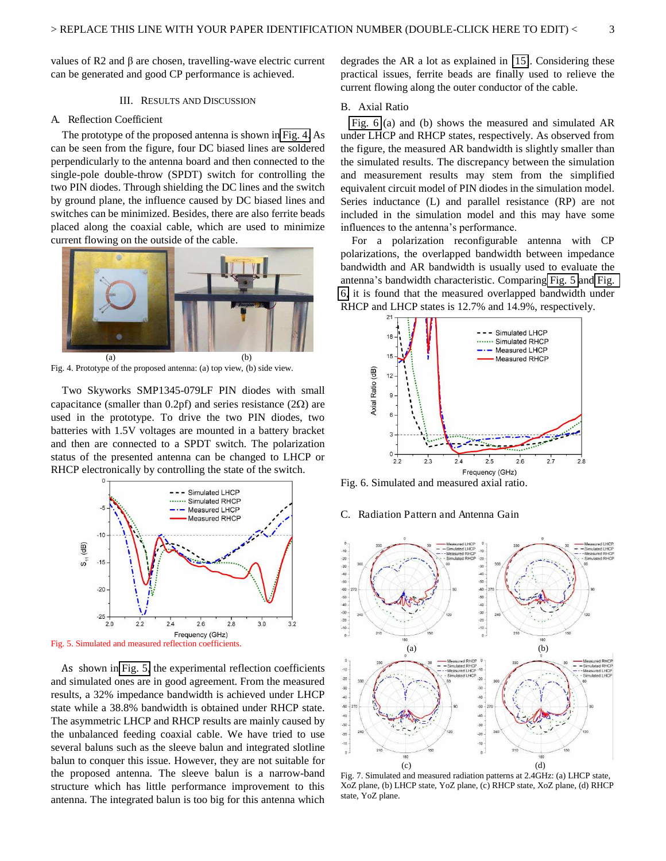values of R2 and  $\beta$  are chosen, travelling-wave electric current can be generated and good CP performance is achieved.

#### III. RESULTS AND DISCUSSION

#### A. Reflection Coefficient

The prototype of the proposed antenna is shown in [Fig. 4.](#page-2-0) As can be seen from the figure, four DC biased lines are soldered perpendicularly to the antenna board and then connected to the single-pole double-throw (SPDT) switch for controlling the two PIN diodes. Through shielding the DC lines and the switch by ground plane, the influence caused by DC biased lines and switches can be minimized. Besides, there are also ferrite beads placed along the coaxial cable, which are used to minimize current flowing on the outside of the cable.



Fig. 4. Prototype of the proposed antenna: (a) top view, (b) side view.

Two Skyworks SMP1345-079LF PIN diodes with small capacitance (smaller than 0.2pf) and series resistance  $(2\Omega)$  are used in the prototype. To drive the two PIN diodes, two batteries with 1.5V voltages are mounted in a battery bracket and then are connected to a SPDT switch. The polarization status of the presented antenna can be changed to LHCP or RHCP electronically by controlling the state of the switch.



<span id="page-3-17"></span><span id="page-3-16"></span>Fig. 5. Simulated and measured reflection coefficients.

As shown in [Fig. 5,](#page-2-1) the experimental reflection coefficients and simulated ones are in good agreement. From the measured results, a 32% impedance bandwidth is achieved under LHCP state while a 38.8% bandwidth is obtained under RHCP state. The asymmetric LHCP and RHCP results are mainly caused by the unbalanced feeding coaxial cable. We have tried to use several baluns such as the sleeve balun and integrated slotline balun to conquer this issue. However, they are not suitable for the proposed antenna. The sleeve balun is a narrow-band structure which has little performance improvement to this antenna. The integrated balun is too big for this antenna which

degrades the AR a lot as explained in [\[15\]](#page-3-14). Considering these practical issues, ferrite beads are finally used to relieve the current flowing along the outer conductor of the cable.

#### B. Axial Ratio

[Fig. 6](#page-2-2) (a) and (b) shows the measured and simulated AR under LHCP and RHCP states, respectively. As observed from the figure, the measured AR bandwidth is slightly smaller than the simulated results. The discrepancy between the simulation and measurement results may stem from the simplified equivalent circuit model of PIN diodes in the simulation model. Series inductance (L) and parallel resistance (RP) are not included in the simulation model and this may have some influences to the antenna's performance.

For a polarization reconfigurable antenna with CP polarizations, the overlapped bandwidth between impedance bandwidth and AR bandwidth is usually used to evaluate the antenna's bandwidth characteristic. Comparing [Fig. 5](#page-2-1) and [Fig.](#page-2-2)  [6,](#page-2-2) it is found that the measured overlapped bandwidth under RHCP and LHCP states is 12.7% and 14.9%, respectively.

<span id="page-3-3"></span><span id="page-3-2"></span><span id="page-3-1"></span><span id="page-3-0"></span>

<span id="page-3-6"></span><span id="page-3-5"></span><span id="page-3-4"></span>Fig. 6. Simulated and measured axial ratio.

#### <span id="page-3-7"></span>C. Radiation Pattern and Antenna Gain

<span id="page-3-12"></span><span id="page-3-11"></span><span id="page-3-10"></span><span id="page-3-9"></span><span id="page-3-8"></span>

<span id="page-3-15"></span><span id="page-3-14"></span><span id="page-3-13"></span>Fig. 7. Simulated and measured radiation patterns at 2.4GHz: (a) LHCP state, XoZ plane, (b) LHCP state, YoZ plane, (c) RHCP state, XoZ plane, (d) RHCP state, YoZ plane.